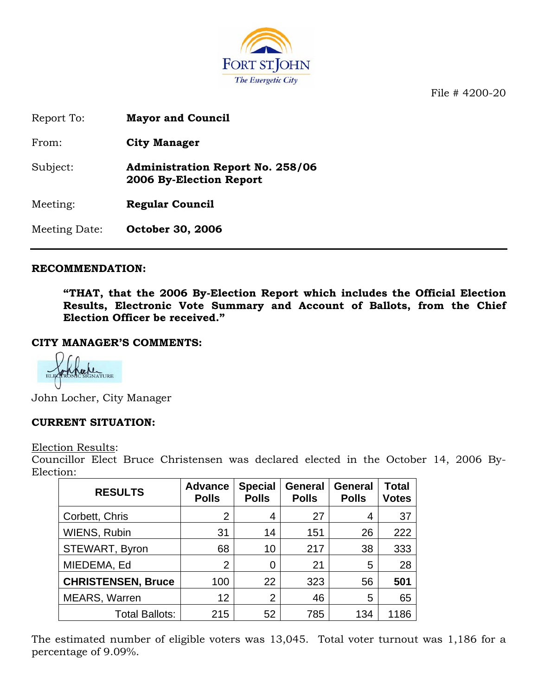

File # 4200-20

Report To: **Mayor and Council**

From: **City Manager**

Subject: **Administration Report No. 258/06 2006 By-Election Report** 

Meeting: **Regular Council** 

Meeting Date: **October 30, 2006** 

## **RECOMMENDATION:**

**"THAT, that the 2006 By-Election Report which includes the Official Election Results, Electronic Vote Summary and Account of Ballots, from the Chief Election Officer be received."** 

#### **CITY MANAGER'S COMMENTS:**

John Locher, City Manager

## **CURRENT SITUATION:**

Election Results:

Councillor Elect Bruce Christensen was declared elected in the October 14, 2006 By-Election:

| <b>RESULTS</b>            | <b>Advance</b><br><b>Polls</b> | <b>Special</b><br><b>Polls</b> | <b>General</b><br><b>Polls</b> | <b>General</b><br><b>Polls</b> | <b>Total</b><br><b>Votes</b> |
|---------------------------|--------------------------------|--------------------------------|--------------------------------|--------------------------------|------------------------------|
| Corbett, Chris            | 2                              | 4                              | 27                             | 4                              | 37                           |
| <b>WIENS, Rubin</b>       | 31                             | 14                             | 151                            | 26                             | 222                          |
| STEWART, Byron            | 68                             | 10                             | 217                            | 38                             | 333                          |
| MIEDEMA, Ed               | $\overline{2}$                 | 0                              | 21                             | 5                              | 28                           |
| <b>CHRISTENSEN, Bruce</b> | 100                            | 22                             | 323                            | 56                             | 501                          |
| <b>MEARS, Warren</b>      | 12                             | 2                              | 46                             | 5                              | 65                           |
| Total Ballots:            | 215                            | 52                             | 785                            | 134                            | 1186                         |

The estimated number of eligible voters was 13,045. Total voter turnout was 1,186 for a percentage of 9.09%.